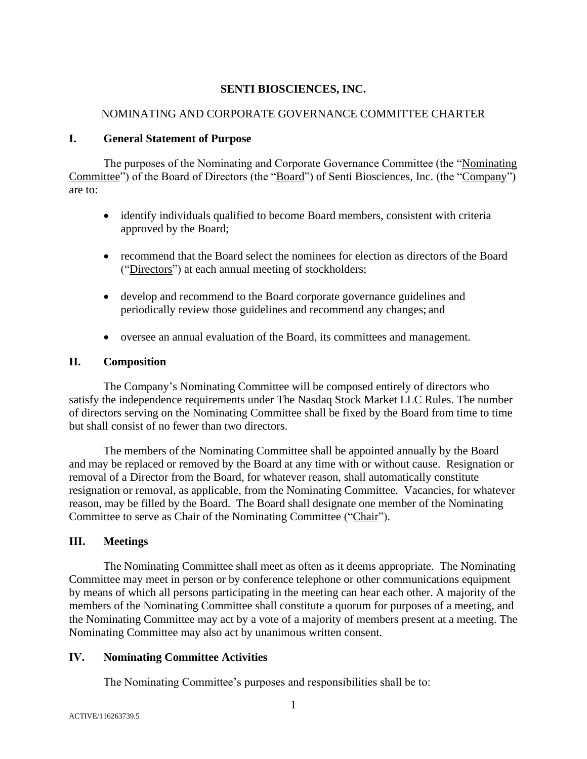### **SENTI BIOSCIENCES, INC.**

### NOMINATING AND CORPORATE GOVERNANCE COMMITTEE CHARTER

#### **I. General Statement of Purpose**

The purposes of the Nominating and Corporate Governance Committee (the "Nominating Committee") of the Board of Directors (the "Board") of Senti Biosciences, Inc. (the "Company") are to:

- identify individuals qualified to become Board members, consistent with criteria approved by the Board;
- recommend that the Board select the nominees for election as directors of the Board ("Directors") at each annual meeting of stockholders;
- develop and recommend to the Board corporate governance guidelines and periodically review those guidelines and recommend any changes; and
- oversee an annual evaluation of the Board, its committees and management.

## **II. Composition**

The Company's Nominating Committee will be composed entirely of directors who satisfy the independence requirements under The Nasdaq Stock Market LLC Rules. The number of directors serving on the Nominating Committee shall be fixed by the Board from time to time but shall consist of no fewer than two directors.

The members of the Nominating Committee shall be appointed annually by the Board and may be replaced or removed by the Board at any time with or without cause. Resignation or removal of a Director from the Board, for whatever reason, shall automatically constitute resignation or removal, as applicable, from the Nominating Committee. Vacancies, for whatever reason, may be filled by the Board. The Board shall designate one member of the Nominating Committee to serve as Chair of the Nominating Committee ("Chair").

# **III. Meetings**

The Nominating Committee shall meet as often as it deems appropriate. The Nominating Committee may meet in person or by conference telephone or other communications equipment by means of which all persons participating in the meeting can hear each other. A majority of the members of the Nominating Committee shall constitute a quorum for purposes of a meeting, and the Nominating Committee may act by a vote of a majority of members present at a meeting. The Nominating Committee may also act by unanimous written consent.

# **IV. Nominating Committee Activities**

The Nominating Committee's purposes and responsibilities shall be to: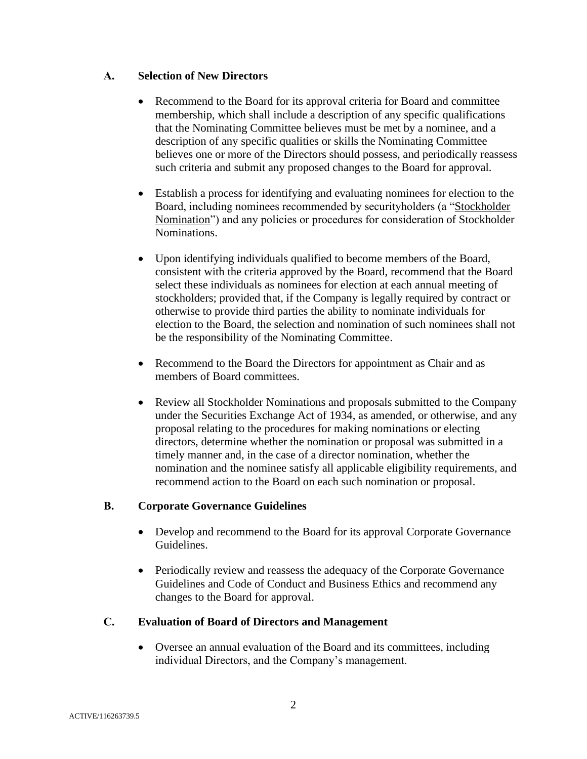## **A. Selection of New Directors**

- Recommend to the Board for its approval criteria for Board and committee membership, which shall include a description of any specific qualifications that the Nominating Committee believes must be met by a nominee, and a description of any specific qualities or skills the Nominating Committee believes one or more of the Directors should possess, and periodically reassess such criteria and submit any proposed changes to the Board for approval.
- Establish a process for identifying and evaluating nominees for election to the Board, including nominees recommended by securityholders (a "Stockholder Nomination") and any policies or procedures for consideration of Stockholder Nominations.
- Upon identifying individuals qualified to become members of the Board, consistent with the criteria approved by the Board, recommend that the Board select these individuals as nominees for election at each annual meeting of stockholders; provided that, if the Company is legally required by contract or otherwise to provide third parties the ability to nominate individuals for election to the Board, the selection and nomination of such nominees shall not be the responsibility of the Nominating Committee.
- Recommend to the Board the Directors for appointment as Chair and as members of Board committees.
- Review all Stockholder Nominations and proposals submitted to the Company under the Securities Exchange Act of 1934, as amended, or otherwise, and any proposal relating to the procedures for making nominations or electing directors, determine whether the nomination or proposal was submitted in a timely manner and, in the case of a director nomination, whether the nomination and the nominee satisfy all applicable eligibility requirements, and recommend action to the Board on each such nomination or proposal.

#### **B. Corporate Governance Guidelines**

- Develop and recommend to the Board for its approval Corporate Governance Guidelines.
- Periodically review and reassess the adequacy of the Corporate Governance Guidelines and Code of Conduct and Business Ethics and recommend any changes to the Board for approval.

# **C. Evaluation of Board of Directors and Management**

• Oversee an annual evaluation of the Board and its committees, including individual Directors, and the Company's management.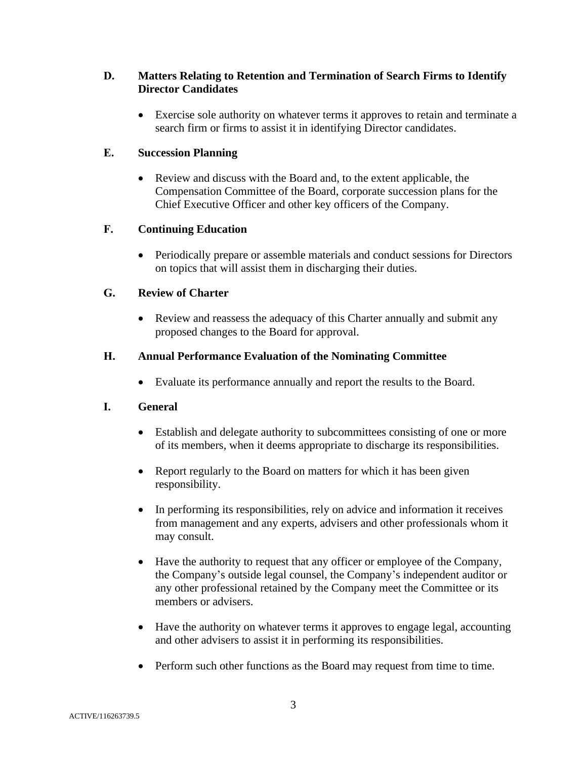## **D. Matters Relating to Retention and Termination of Search Firms to Identify Director Candidates**

• Exercise sole authority on whatever terms it approves to retain and terminate a search firm or firms to assist it in identifying Director candidates.

## **E. Succession Planning**

• Review and discuss with the Board and, to the extent applicable, the Compensation Committee of the Board, corporate succession plans for the Chief Executive Officer and other key officers of the Company.

## **F. Continuing Education**

• Periodically prepare or assemble materials and conduct sessions for Directors on topics that will assist them in discharging their duties.

## **G. Review of Charter**

• Review and reassess the adequacy of this Charter annually and submit any proposed changes to the Board for approval.

## **H. Annual Performance Evaluation of the Nominating Committee**

• Evaluate its performance annually and report the results to the Board.

#### **I. General**

- Establish and delegate authority to subcommittees consisting of one or more of its members, when it deems appropriate to discharge its responsibilities.
- Report regularly to the Board on matters for which it has been given responsibility.
- In performing its responsibilities, rely on advice and information it receives from management and any experts, advisers and other professionals whom it may consult.
- Have the authority to request that any officer or employee of the Company, the Company's outside legal counsel, the Company's independent auditor or any other professional retained by the Company meet the Committee or its members or advisers.
- Have the authority on whatever terms it approves to engage legal, accounting and other advisers to assist it in performing its responsibilities.
- Perform such other functions as the Board may request from time to time.